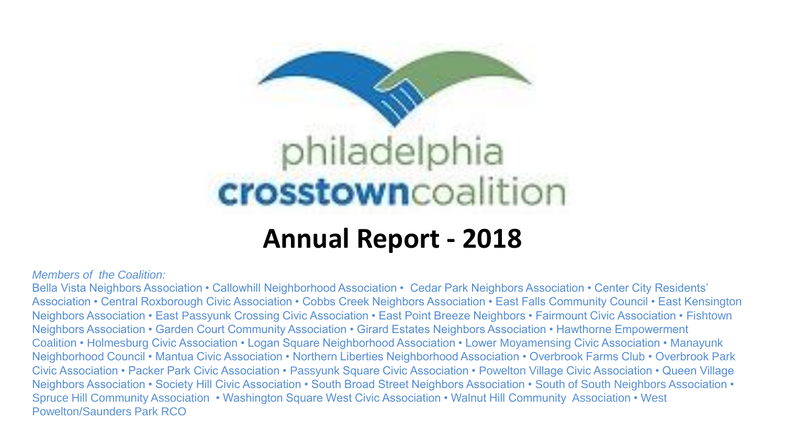

### **Annual Report - 2018**

#### *Members of the Coalition:*

Bella Vista Neighbors Association • Callowhill Neighborhood Association • Cedar Park Neighbors Association • Center City Residents' Association • Central Roxborough Civic Association • Cobbs Creek Neighbors Association • East Falls Community Council • East Kensington Neighbors Association • East Passyunk Crossing Civic Association • East Point Breeze Neighbors • Fairmount Civic Association • Fishtown Neighbors Association • Garden Court Community Association • Girard Estates Neighbors Association • Hawthorne Empowerment Coalition • Holmesburg Civic Association • Logan Square Neighborhood Association • Lower Moyamensing Civic Association • Manayunk Neighborhood Council • Mantua Civic Association • Northern Liberties Neighborhood Association • Overbrook Farms Club • Overbrook Park Civic Association • Packer Park Civic Association • Passyunk Square Civic Association • Powelton Village Civic Association • Queen Village Neighbors Association • Society Hill Civic Association • South Broad Street Neighbors Association • South of South Neighbors Association • Spruce Hill Community Association • Washington Square West Civic Association • Walnut Hill Community Association • West Powelton/Saunders Park RCO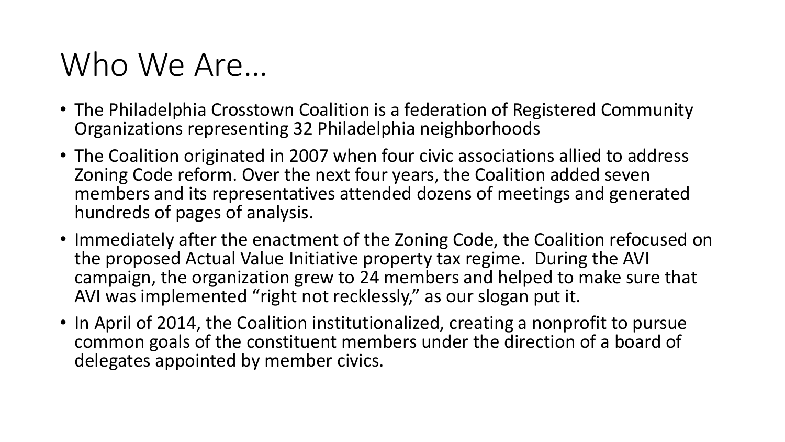### Who We Are…

- The Philadelphia Crosstown Coalition is a federation of Registered Community Organizations representing 32 Philadelphia neighborhoods
- The Coalition originated in 2007 when four civic associations allied to address Zoning Code reform. Over the next four years, the Coalition added seven members and its representatives attended dozens of meetings and generated hundreds of pages of analysis.
- Immediately after the enactment of the Zoning Code, the Coalition refocused on the proposed Actual Value Initiative property tax regime. During the AVI campaign, the organization grew to 24 members and helped to make sure that AVI was implemented "right not recklessly," as our slogan put it.
- In April of 2014, the Coalition institutionalized, creating a nonprofit to pursue common goals of the constituent members under the direction of a board of delegates appointed by member civics.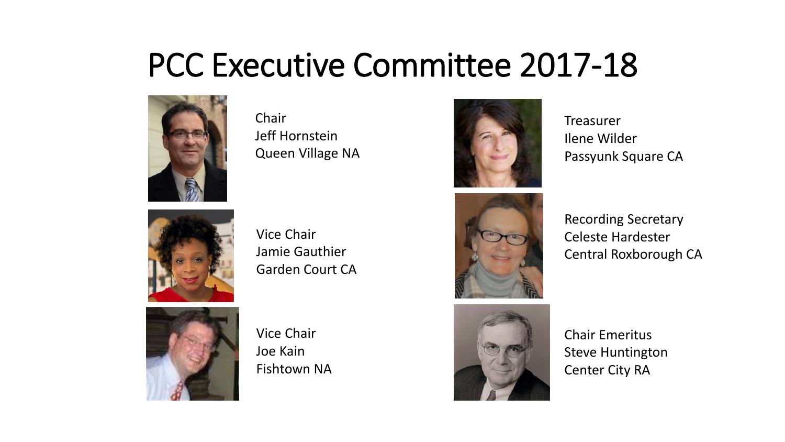### PCC Executive Committee 2017-18



Chair Jeff Hornstein Queen Village NA



Vice Chair Jamie Gauthier Garden Court CA



Vice Chair Joe Kain Fishtown NA



**Treasurer** Ilene Wilder Passyunk Square CA



Recording Secretary Celeste Hardester Central Roxborough CA



Chair Emeritus Steve Huntington Center City RA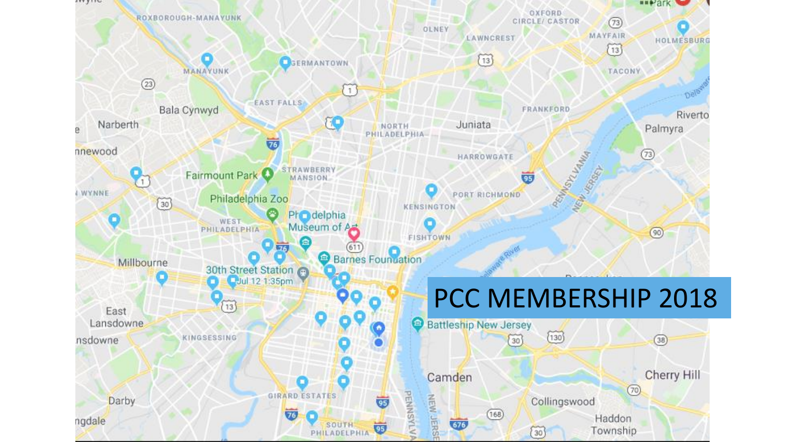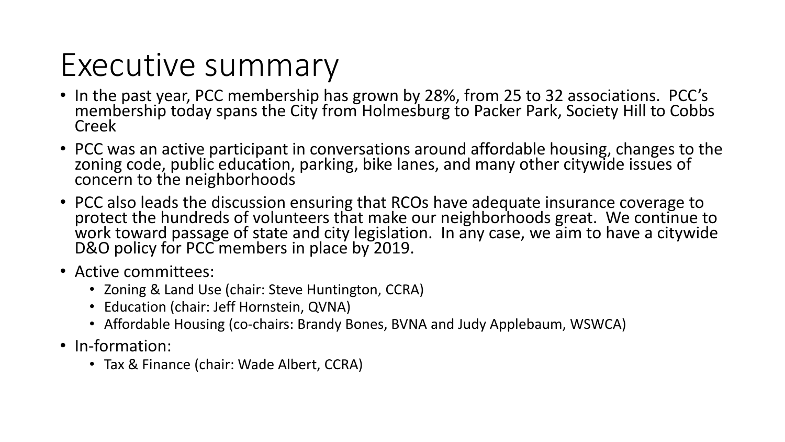## Executive summary

- In the past year, PCC membership has grown by 28%, from 25 to 32 associations. PCC's membership today spans the City from Holmesburg to Packer Park, Society Hill to Cobbs Creek
- PCC was an active participant in conversations around affordable housing, changes to the zoning code, public education, parking, bike lanes, and many other citywide issues of concern to the neighborhoods
- PCC also leads the discussion ensuring that RCOs have adequate insurance coverage to protect the hundreds of volunteers that make our neighborhoods great. We continue to work toward passage of state and city legislation. In any case, we aim to have a citywide D&O policy for PCC members in place by 2019.
- Active committees:
	- Zoning & Land Use (chair: Steve Huntington, CCRA)
	- Education (chair: Jeff Hornstein, QVNA)
	- Affordable Housing (co-chairs: Brandy Bones, BVNA and Judy Applebaum, WSWCA)
- In-formation:
	- Tax & Finance (chair: Wade Albert, CCRA)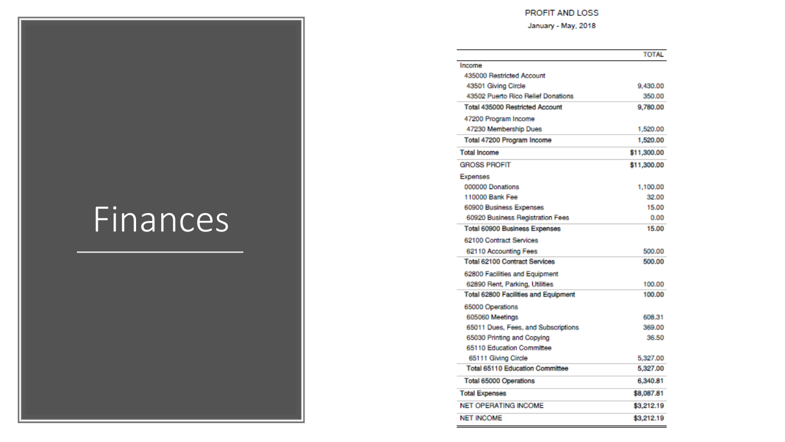#### PROFIT AND LOSS

#### January - May, 2018

|                                        | <b>TOTAL</b> |
|----------------------------------------|--------------|
| Income                                 |              |
| 435000 Restricted Account              |              |
| 43501 Giving Circle                    | 9,430.00     |
| 43502 Puerto Rico Relief Donations     | 350.00       |
| <b>Total 435000 Restricted Account</b> | 9,780.00     |
| 47200 Program Income                   |              |
| 47230 Membership Dues                  | 1,520.00     |
| Total 47200 Program Income             | 1,520.00     |
| <b>Total Income</b>                    | \$11,300.00  |
| <b>GROSS PROFIT</b>                    | \$11,300.00  |
| Expenses                               |              |
| 000000 Donations                       | 1,100.00     |
| 110000 Bank Fee                        | 32.00        |
| 60900 Business Expenses                | 15.00        |
| 60920 Business Registration Fees       | 0.00         |
| Total 60900 Business Expenses          | 15.00        |
| 62100 Contract Services                |              |
| 62110 Accounting Fees                  | 500.00       |
| <b>Total 62100 Contract Services</b>   | 500.00       |
| 62800 Facilities and Equipment         |              |
| 62890 Rent, Parking, Utilities         | 100.00       |
| Total 62800 Facilities and Equipment   | 100.00       |
| 65000 Operations                       |              |
| 605060 Meetings                        | 608.31       |
| 65011 Dues, Fees, and Subscriptions    | 369.00       |
| 65030 Printing and Copying             | 36.50        |
| 65110 Education Committee              |              |
| 65111 Giving Circle                    | 5,327.00     |
| <b>Total 65110 Education Committee</b> | 5,327.00     |
| Total 65000 Operations                 | 6,340.81     |
| <b>Total Expenses</b>                  | \$8,087.81   |
| <b>NET OPERATING INCOME</b>            | \$3,212.19   |
| <b>NET INCOME</b>                      | \$3,212.19   |

# Finances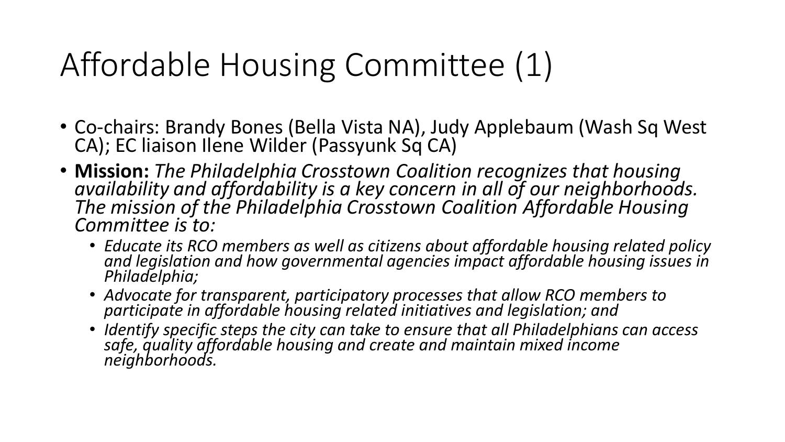# Affordable Housing Committee (1)

- Co-chairs: Brandy Bones (Bella Vista NA), Judy Applebaum (Wash Sq West CA); EC liaison Ilene Wilder (Passyunk Sq CA)
- **Mission:** *The Philadelphia Crosstown Coalition recognizes that housing availability and affordability is a key concern in all of our neighborhoods. The mission of the Philadelphia Crosstown Coalition Affordable Housing Committee is to:*
	- *Educate its RCO members as well as citizens about affordable housing related policy and legislation and how governmental agencies impact affordable housing issues in Philadelphia;*
	- *Advocate for transparent, participatory processes that allow RCO members to participate in affordable housing related initiatives and legislation; and*
	- *Identify specific steps the city can take to ensure that all Philadelphians can access safe, quality affordable housing and create and maintain mixed income neighborhoods.*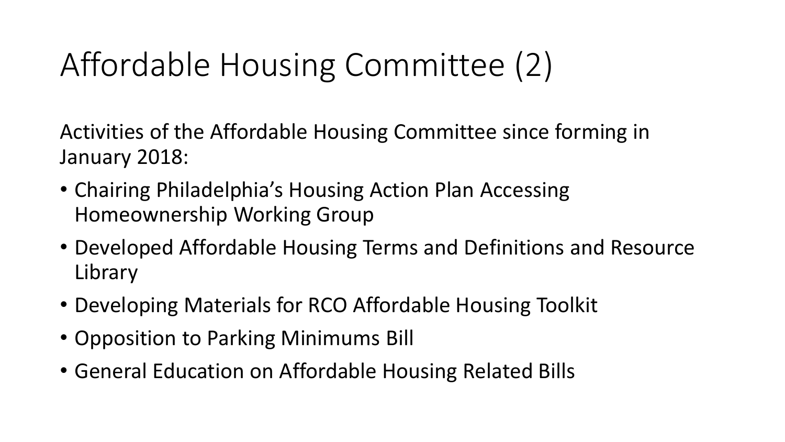# Affordable Housing Committee (2)

Activities of the Affordable Housing Committee since forming in January 2018:

- Chairing Philadelphia's Housing Action Plan Accessing Homeownership Working Group
- Developed Affordable Housing Terms and Definitions and Resource Library
- Developing Materials for RCO Affordable Housing Toolkit
- Opposition to Parking Minimums Bill
- General Education on Affordable Housing Related Bills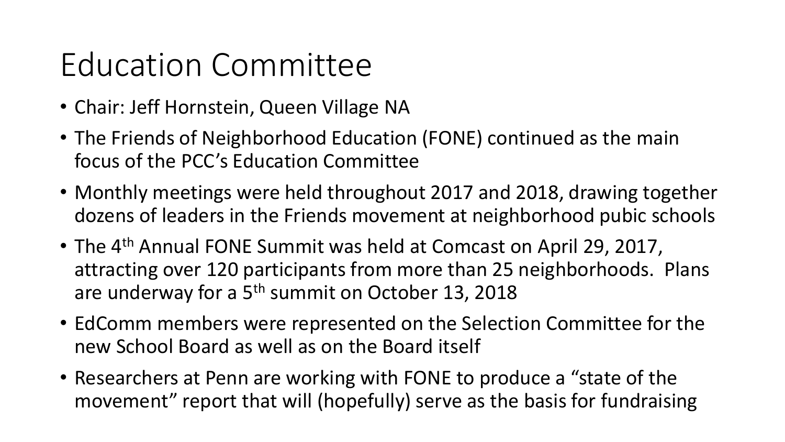# Education Committee

- Chair: Jeff Hornstein, Queen Village NA
- The Friends of Neighborhood Education (FONE) continued as the main focus of the PCC's Education Committee
- Monthly meetings were held throughout 2017 and 2018, drawing together dozens of leaders in the Friends movement at neighborhood pubic schools
- The 4<sup>th</sup> Annual FONE Summit was held at Comcast on April 29, 2017, attracting over 120 participants from more than 25 neighborhoods. Plans are underway for a 5<sup>th</sup> summit on October 13, 2018
- EdComm members were represented on the Selection Committee for the new School Board as well as on the Board itself
- Researchers at Penn are working with FONE to produce a "state of the movement" report that will (hopefully) serve as the basis for fundraising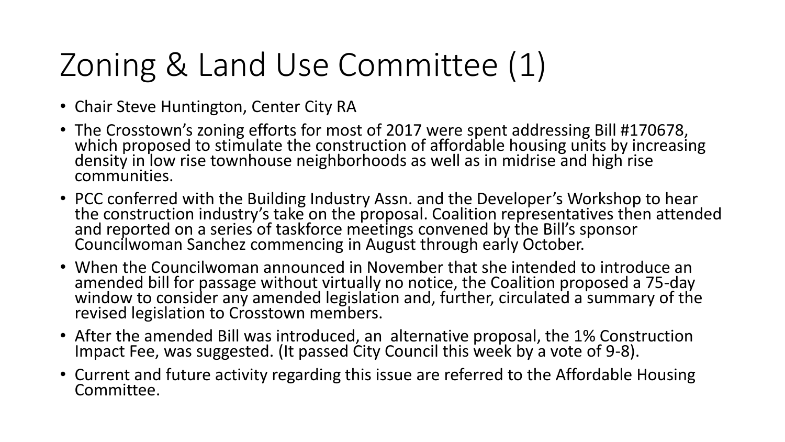# Zoning & Land Use Committee (1)

- Chair Steve Huntington, Center City RA
- The Crosstown's zoning efforts for most of 2017 were spent addressing Bill #170678, which proposed to stimulate the construction of affordable housing units by increasing density in low rise townhouse neighborhoods as well as in midrise and high rise communities.
- PCC conferred with the Building Industry Assn. and the Developer's Workshop to hear the construction industry's take on the proposal. Coalition representatives then attended and reported on a series of taskforce meetings convened by the Bill's sponsor Councilwoman Sanchez commencing in August through early October.
- When the Councilwoman announced in November that she intended to introduce an amended bill for passage without virtually no notice, the Coalition proposed a 75-day window to consider any amended legislation and, further, circulated a summary of the revised legislation to Crosstown members.
- After the amended Bill was introduced, an alternative proposal, the 1% Construction Impact Fee, was suggested. (It passed City Council this week by a vote of 9-8).
- Current and future activity regarding this issue are referred to the Affordable Housing Committee.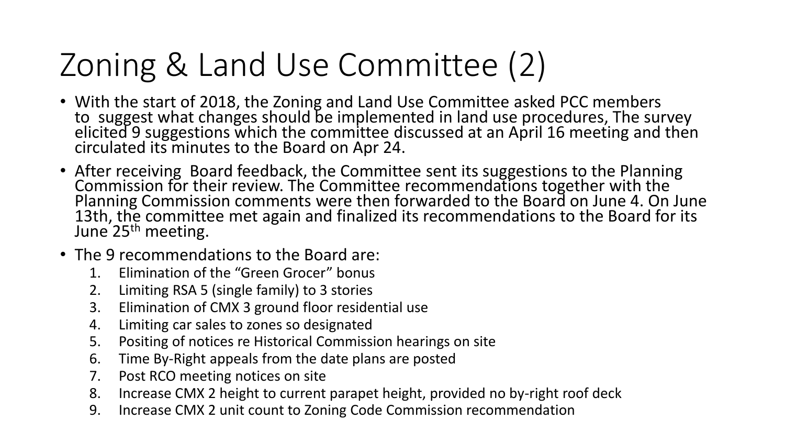# Zoning & Land Use Committee (2)

- With the start of 2018, the Zoning and Land Use Committee asked PCC members to suggest what changes should be implemented in land use procedures, The survey elicited 9 suggestions which the committee discussed at an April 16 meeting and then circulated its minutes to the Board on Apr 24.
- After receiving Board feedback, the Committee sent its suggestions to the Planning Commission for their review. The Committee recommendations together with the Planning Commission comments were then forwarded to the Board on June 4. On June 13th, the committee met again and finalized its recommendations to the Board for its June<sup>'</sup>25<sup>th</sup> meeting.
- The 9 recommendations to the Board are:
	- 1. Elimination of the "Green Grocer" bonus
	- 2. Limiting RSA 5 (single family) to 3 stories
	- 3. Elimination of CMX 3 ground floor residential use
	- 4. Limiting car sales to zones so designated
	- 5. Positing of notices re Historical Commission hearings on site
	- 6. Time By-Right appeals from the date plans are posted
	- 7. Post RCO meeting notices on site
	- 8. Increase CMX 2 height to current parapet height, provided no by-right roof deck
	- 9. Increase CMX 2 unit count to Zoning Code Commission recommendation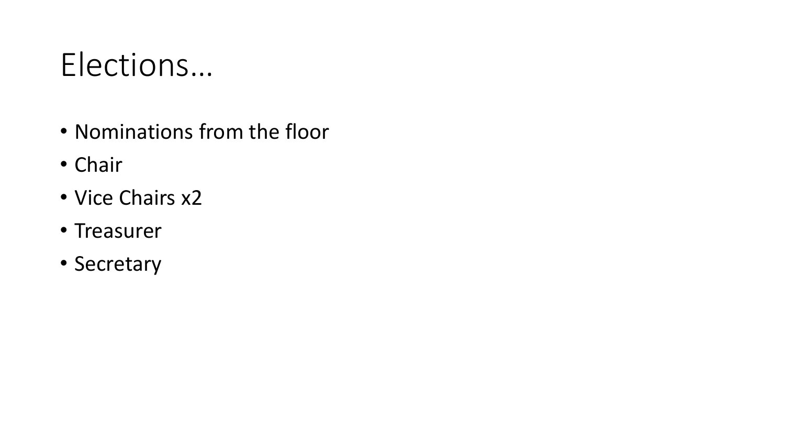## Elections…

- Nominations from the floor
- Chair
- Vice Chairs x2
- Treasurer
- Secretary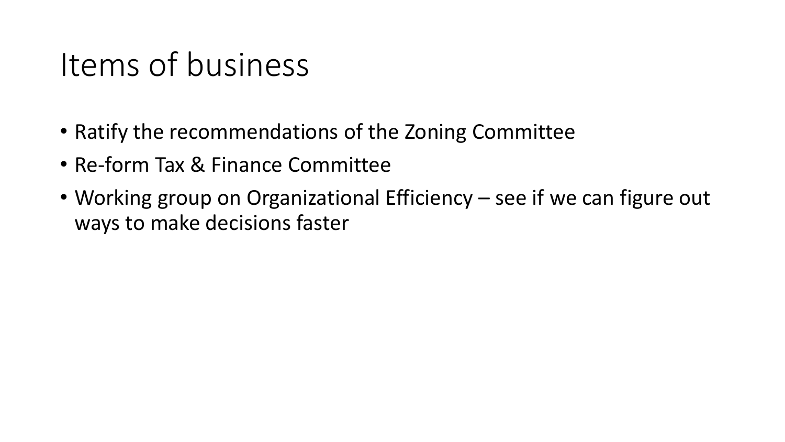### Items of business

- Ratify the recommendations of the Zoning Committee
- Re-form Tax & Finance Committee
- Working group on Organizational Efficiency see if we can figure out ways to make decisions faster